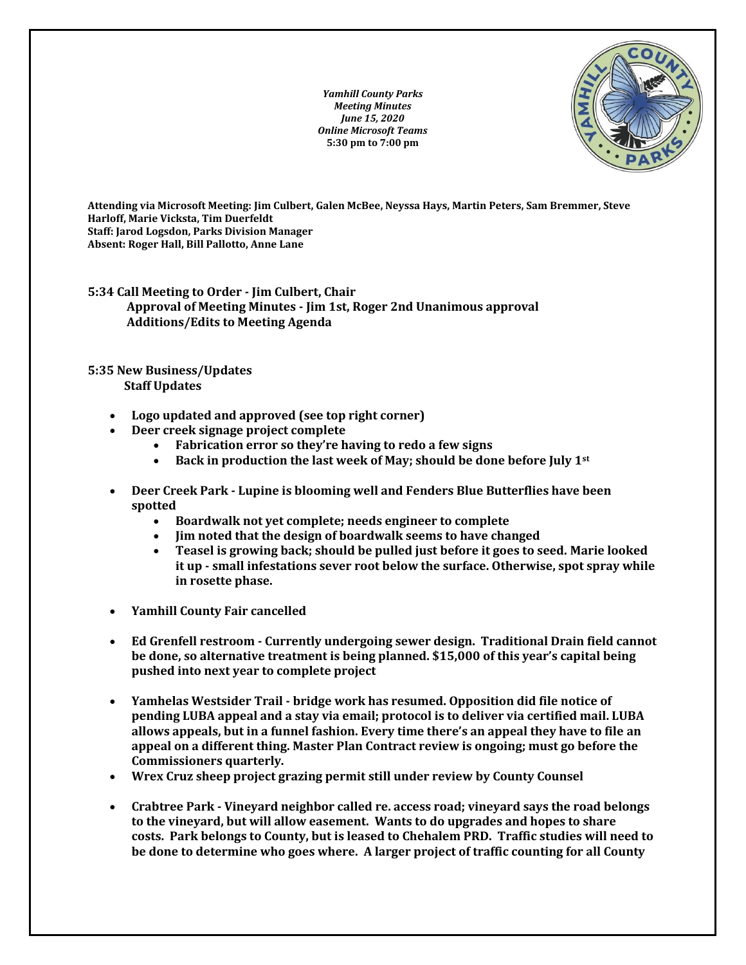*Yamhill County Parks Meeting Minutes June 15, 2020 Online Microsoft Teams* **5:30 pm to 7:00 pm**



**Attending via Microsoft Meeting: Jim Culbert, Galen McBee, Neyssa Hays, Martin Peters, Sam Bremmer, Steve Harloff, Marie Vicksta, Tim Duerfeldt Staff: Jarod Logsdon, Parks Division Manager Absent: Roger Hall, Bill Pallotto, Anne Lane**

**5:34 Call Meeting to Order - Jim Culbert, Chair Approval of Meeting Minutes - Jim 1st, Roger 2nd Unanimous approval Additions/Edits to Meeting Agenda**

## **5:35 New Business/Updates Staff Updates**

- **Logo updated and approved (see top right corner)**
- **Deer creek signage project complete**
	- **Fabrication error so they're having to redo a few signs**
	- **Back in production the last week of May; should be done before July 1st**
- **Deer Creek Park - Lupine is blooming well and Fenders Blue Butterflies have been spotted**
	- **Boardwalk not yet complete; needs engineer to complete**
	- **Jim noted that the design of boardwalk seems to have changed**
	- **Teasel is growing back; should be pulled just before it goes to seed. Marie looked it up - small infestations sever root below the surface. Otherwise, spot spray while in rosette phase.**
- **Yamhill County Fair cancelled**
- **Ed Grenfell restroom - Currently undergoing sewer design. Traditional Drain field cannot be done, so alternative treatment is being planned. \$15,000 of this year's capital being pushed into next year to complete project**
- **Yamhelas Westsider Trail - bridge work has resumed. Opposition did file notice of pending LUBA appeal and a stay via email; protocol is to deliver via certified mail. LUBA allows appeals, but in a funnel fashion. Every time there's an appeal they have to file an appeal on a different thing. Master Plan Contract review is ongoing; must go before the Commissioners quarterly.**
- **Wrex Cruz sheep project grazing permit still under review by County Counsel**
- **Crabtree Park - Vineyard neighbor called re. access road; vineyard says the road belongs to the vineyard, but will allow easement. Wants to do upgrades and hopes to share costs. Park belongs to County, but is leased to Chehalem PRD. Traffic studies will need to be done to determine who goes where. A larger project of traffic counting for all County**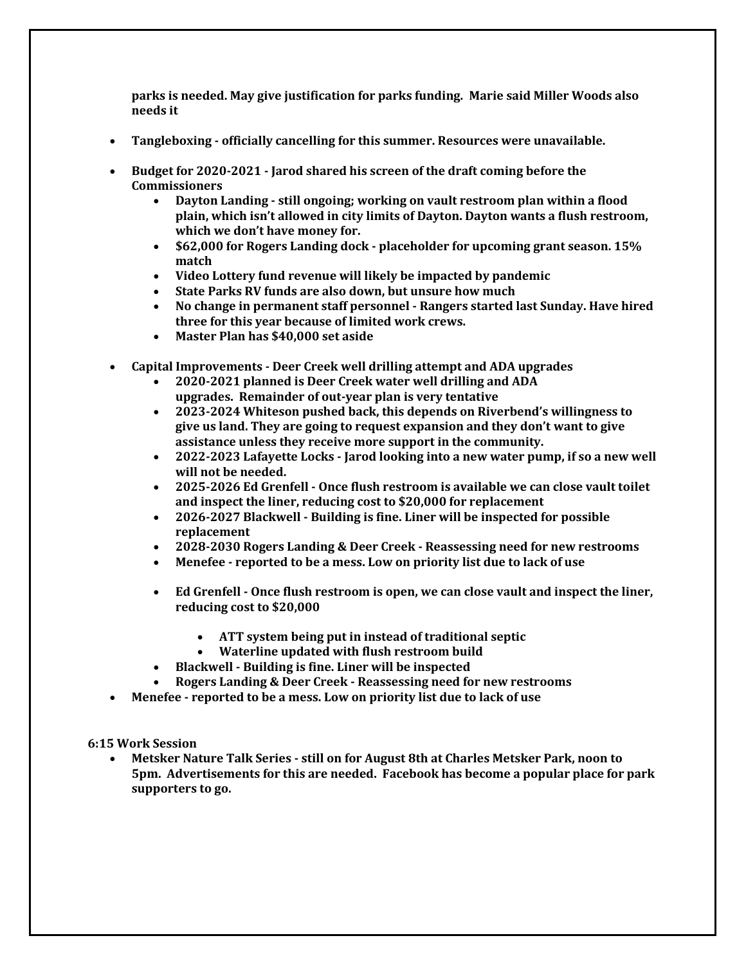**parks is needed. May give justification for parks funding. Marie said Miller Woods also needs it**

- **Tangleboxing - officially cancelling for this summer. Resources were unavailable.**
- **Budget for 2020-2021 - Jarod shared his screen of the draft coming before the Commissioners**
	- **Dayton Landing - still ongoing; working on vault restroom plan within a flood plain, which isn't allowed in city limits of Dayton. Dayton wants a flush restroom, which we don't have money for.**
	- **\$62,000 for Rogers Landing dock - placeholder for upcoming grant season. 15% match**
	- **Video Lottery fund revenue will likely be impacted by pandemic**
	- **State Parks RV funds are also down, but unsure how much**
	- **No change in permanent staff personnel - Rangers started last Sunday. Have hired three for this year because of limited work crews.**
	- **Master Plan has \$40,000 set aside**
- **Capital Improvements - Deer Creek well drilling attempt and ADA upgrades**
	- **2020-2021 planned is Deer Creek water well drilling and ADA upgrades. Remainder of out-year plan is very tentative**
	- **2023-2024 Whiteson pushed back, this depends on Riverbend's willingness to give us land. They are going to request expansion and they don't want to give assistance unless they receive more support in the community.**
	- **2022-2023 Lafayette Locks - Jarod looking into a new water pump, if so a new well will not be needed.**
	- **2025-2026 Ed Grenfell - Once flush restroom is available we can close vault toilet and inspect the liner, reducing cost to \$20,000 for replacement**
	- **2026-2027 Blackwell - Building is fine. Liner will be inspected for possible replacement**
	- **2028-2030 Rogers Landing & Deer Creek - Reassessing need for new restrooms**
	- **Menefee - reported to be a mess. Low on priority list due to lack of use**
	- **Ed Grenfell - Once flush restroom is open, we can close vault and inspect the liner, reducing cost to \$20,000**
		- **ATT system being put in instead of traditional septic**
		- **Waterline updated with flush restroom build**
	- **Blackwell - Building is fine. Liner will be inspected**
	- **Rogers Landing & Deer Creek - Reassessing need for new restrooms**
- **Menefee - reported to be a mess. Low on priority list due to lack of use**

**6:15 Work Session**

• **Metsker Nature Talk Series - still on for August 8th at Charles Metsker Park, noon to 5pm. Advertisements for this are needed. Facebook has become a popular place for park supporters to go.**